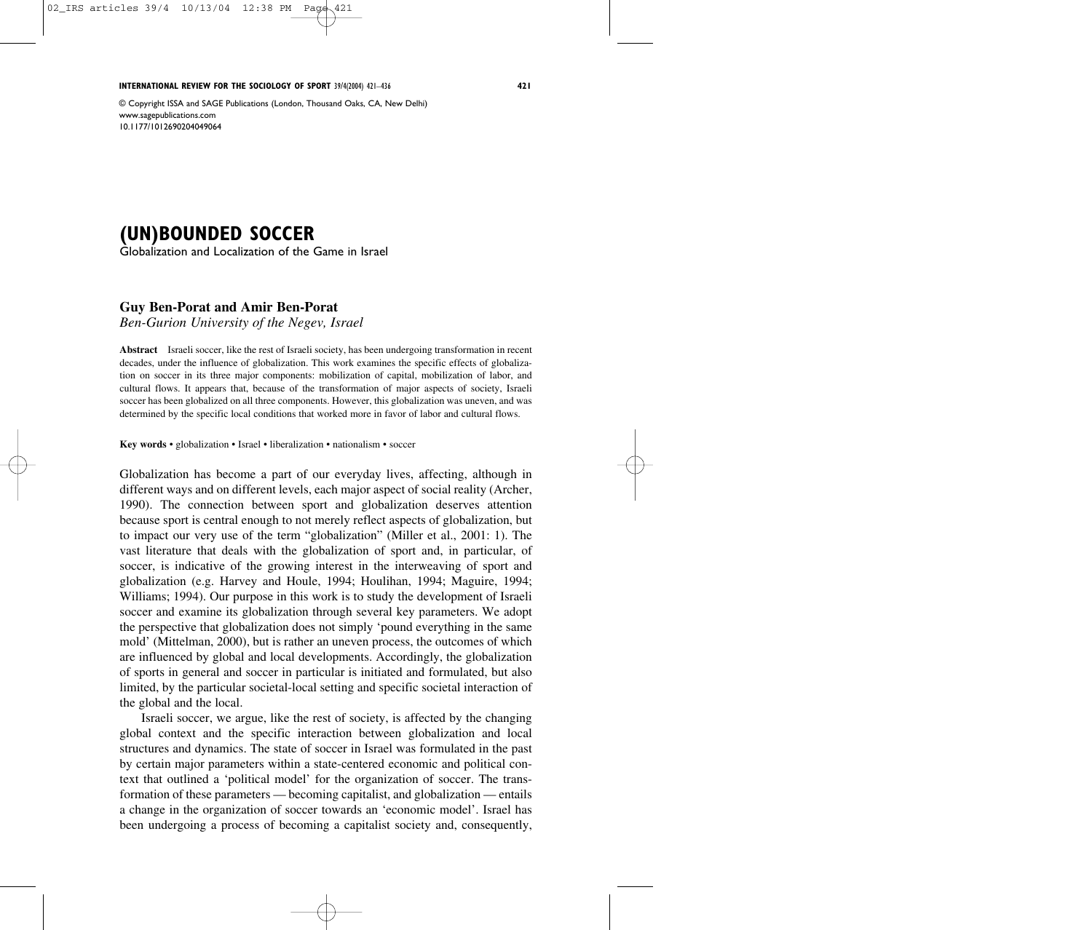**INTERNATIONAL REVIEW FOR THE SOCIOLOGY OF SPORT** 39/4(2004) 421–436 **421**

© Copyright ISSA and SAGE Publications (London, Thousand Oaks, CA, New Delhi) www.sagepublications.com 10.1177/1012690204049064

# **(UN)BOUNDED SOCCER**

Globalization and Localization of the Game in Israel

## **Guy Ben-Porat and Amir Ben-Porat**

*Ben-Gurion University of the Negev, Israel*

**Abstract** Israeli soccer, like the rest of Israeli society, has been undergoing transformation in recent decades, under the influence of globalization. This work examines the specific effects of globalization on soccer in its three major components: mobilization of capital, mobilization of labor, and cultural flows. It appears that, because of the transformation of major aspects of society, Israeli soccer has been globalized on all three components. However, this globalization was uneven, and was determined by the specific local conditions that worked more in favor of labor and cultural flows.

**Key words** • globalization • Israel • liberalization • nationalism • soccer

Globalization has become a part of our everyday lives, affecting, although in different ways and on different levels, each major aspect of social reality (Archer, 1990). The connection between sport and globalization deserves attention because sport is central enough to not merely reflect aspects of globalization, but to impact our very use of the term "globalization" (Miller et al., 2001: 1). The vast literature that deals with the globalization of sport and, in particular, of soccer, is indicative of the growing interest in the interweaving of sport and globalization (e.g. Harvey and Houle, 1994; Houlihan, 1994; Maguire, 1994; Williams; 1994). Our purpose in this work is to study the development of Israeli soccer and examine its globalization through several key parameters. We adopt the perspective that globalization does not simply 'pound everything in the same mold' (Mittelman, 2000), but is rather an uneven process, the outcomes of which are influenced by global and local developments. Accordingly, the globalization of sports in general and soccer in particular is initiated and formulated, but also limited, by the particular societal-local setting and specific societal interaction of the global and the local.

Israeli soccer, we argue, like the rest of society, is affected by the changing global context and the specific interaction between globalization and local structures and dynamics. The state of soccer in Israel was formulated in the past by certain major parameters within a state-centered economic and political context that outlined a 'political model' for the organization of soccer. The transformation of these parameters — becoming capitalist, and globalization — entails a change in the organization of soccer towards an 'economic model'. Israel has been undergoing a process of becoming a capitalist society and, consequently,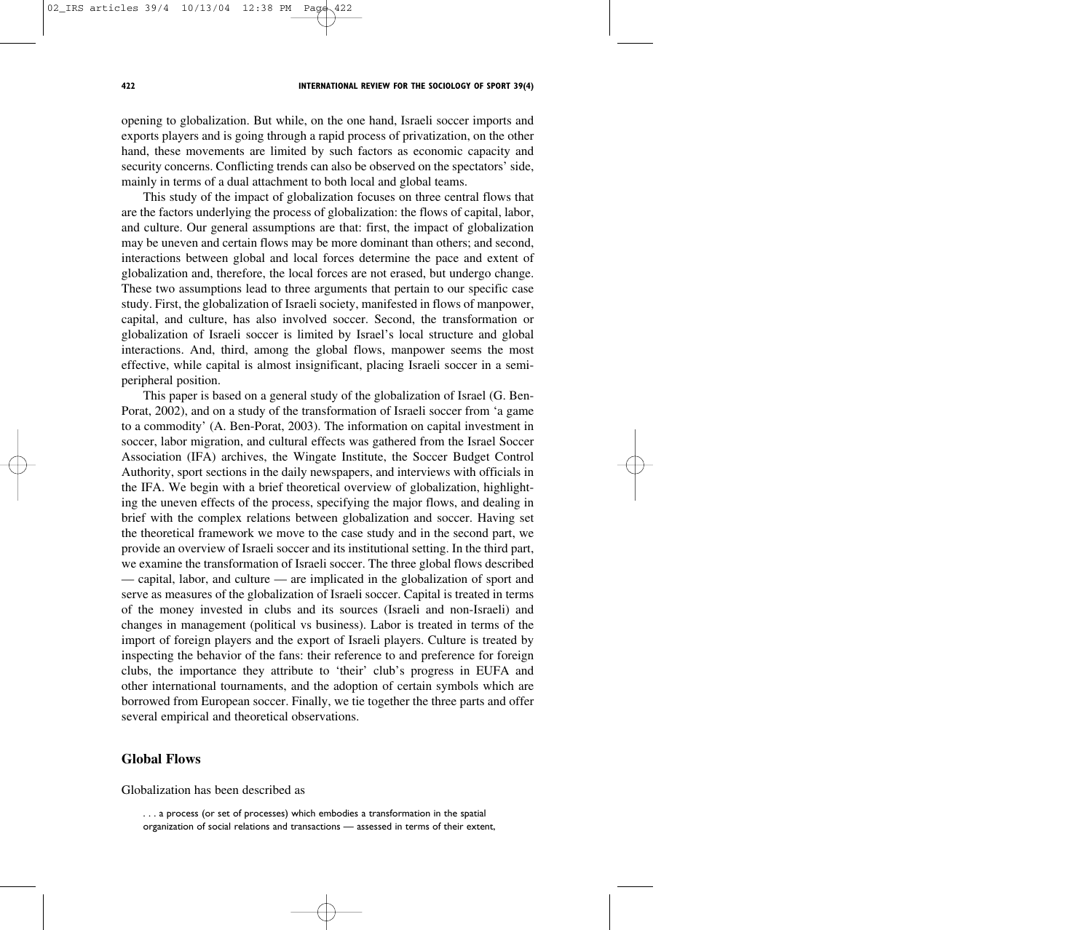opening to globalization. But while, on the one hand, Israeli soccer imports and exports players and is going through a rapid process of privatization, on the other hand, these movements are limited by such factors as economic capacity and security concerns. Conflicting trends can also be observed on the spectators' side, mainly in terms of a dual attachment to both local and global teams.

This study of the impact of globalization focuses on three central flows that are the factors underlying the process of globalization: the flows of capital, labor, and culture. Our general assumptions are that: first, the impact of globalization may be uneven and certain flows may be more dominant than others; and second, interactions between global and local forces determine the pace and extent of globalization and, therefore, the local forces are not erased, but undergo change. These two assumptions lead to three arguments that pertain to our specific case study. First, the globalization of Israeli society, manifested in flows of manpower, capital, and culture, has also involved soccer. Second, the transformation or globalization of Israeli soccer is limited by Israel's local structure and global interactions. And, third, among the global flows, manpower seems the most effective, while capital is almost insignificant, placing Israeli soccer in a semiperipheral position.

This paper is based on a general study of the globalization of Israel (G. Ben-Porat, 2002), and on a study of the transformation of Israeli soccer from 'a game to a commodity' (A. Ben-Porat, 2003). The information on capital investment in soccer, labor migration, and cultural effects was gathered from the Israel Soccer Association (IFA) archives, the Wingate Institute, the Soccer Budget Control Authority, sport sections in the daily newspapers, and interviews with officials in the IFA. We begin with a brief theoretical overview of globalization, highlighting the uneven effects of the process, specifying the major flows, and dealing in brief with the complex relations between globalization and soccer. Having set the theoretical framework we move to the case study and in the second part, we provide an overview of Israeli soccer and its institutional setting. In the third part, we examine the transformation of Israeli soccer. The three global flows described — capital, labor, and culture — are implicated in the globalization of sport and serve as measures of the globalization of Israeli soccer. Capital is treated in terms of the money invested in clubs and its sources (Israeli and non-Israeli) and changes in management (political vs business). Labor is treated in terms of the import of foreign players and the export of Israeli players. Culture is treated by inspecting the behavior of the fans: their reference to and preference for foreign clubs, the importance they attribute to 'their' club's progress in EUFA and other international tournaments, and the adoption of certain symbols which are borrowed from European soccer. Finally, we tie together the three parts and offer several empirical and theoretical observations.

## **Global Flows**

Globalization has been described as

. . . a process (or set of processes) which embodies a transformation in the spatial organization of social relations and transactions — assessed in terms of their extent,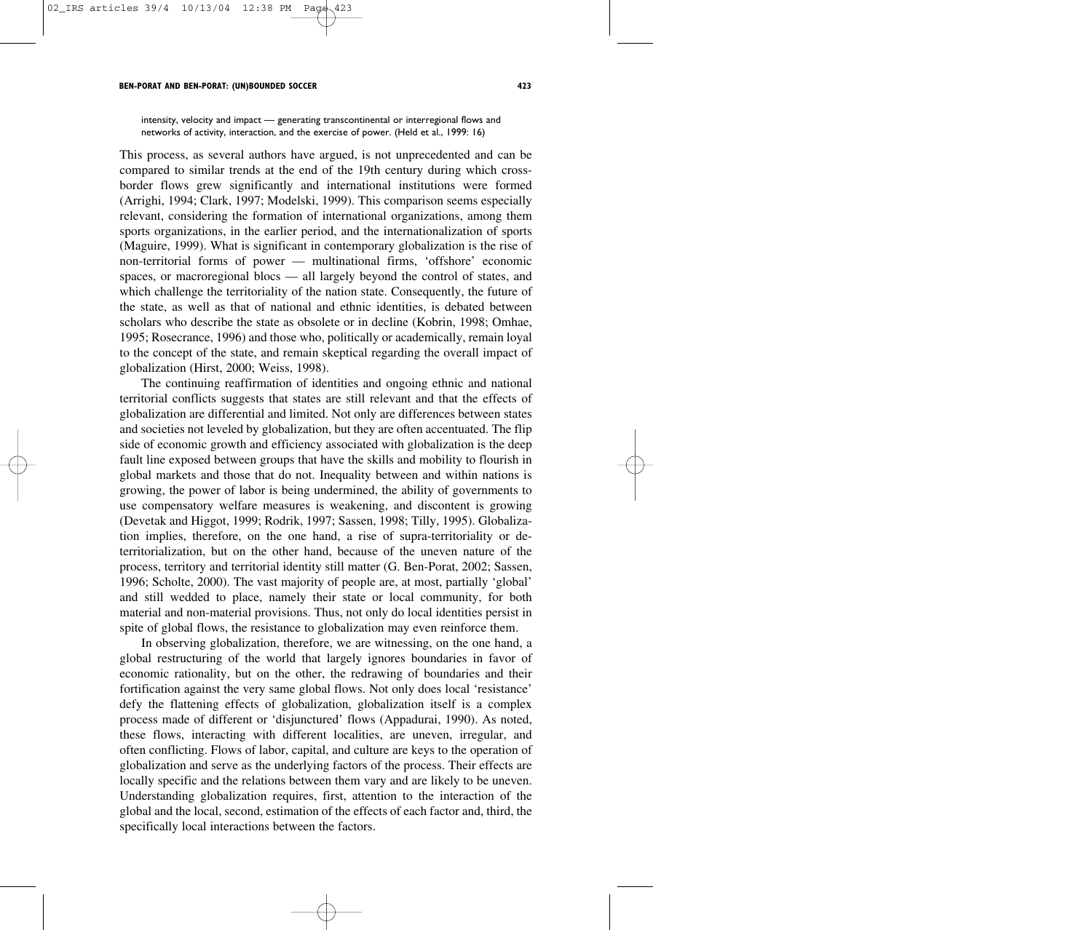intensity, velocity and impact — generating transcontinental or interregional flows and networks of activity, interaction, and the exercise of power. (Held et al., 1999: 16)

This process, as several authors have argued, is not unprecedented and can be compared to similar trends at the end of the 19th century during which crossborder flows grew significantly and international institutions were formed (Arrighi, 1994; Clark, 1997; Modelski, 1999). This comparison seems especially relevant, considering the formation of international organizations, among them sports organizations, in the earlier period, and the internationalization of sports (Maguire, 1999). What is significant in contemporary globalization is the rise of non-territorial forms of power — multinational firms, 'offshore' economic spaces, or macroregional blocs — all largely beyond the control of states, and which challenge the territoriality of the nation state. Consequently, the future of the state, as well as that of national and ethnic identities, is debated between scholars who describe the state as obsolete or in decline (Kobrin, 1998; Omhae, 1995; Rosecrance, 1996) and those who, politically or academically, remain loyal to the concept of the state, and remain skeptical regarding the overall impact of globalization (Hirst, 2000; Weiss, 1998).

The continuing reaffirmation of identities and ongoing ethnic and national territorial conflicts suggests that states are still relevant and that the effects of globalization are differential and limited. Not only are differences between states and societies not leveled by globalization, but they are often accentuated. The flip side of economic growth and efficiency associated with globalization is the deep fault line exposed between groups that have the skills and mobility to flourish in global markets and those that do not. Inequality between and within nations is growing, the power of labor is being undermined, the ability of governments to use compensatory welfare measures is weakening, and discontent is growing (Devetak and Higgot, 1999; Rodrik, 1997; Sassen, 1998; Tilly, 1995). Globalization implies, therefore, on the one hand, a rise of supra-territoriality or deterritorialization, but on the other hand, because of the uneven nature of the process, territory and territorial identity still matter (G. Ben-Porat, 2002; Sassen, 1996; Scholte, 2000). The vast majority of people are, at most, partially 'global' and still wedded to place, namely their state or local community, for both material and non-material provisions. Thus, not only do local identities persist in spite of global flows, the resistance to globalization may even reinforce them.

In observing globalization, therefore, we are witnessing, on the one hand, a global restructuring of the world that largely ignores boundaries in favor of economic rationality, but on the other, the redrawing of boundaries and their fortification against the very same global flows. Not only does local 'resistance' defy the flattening effects of globalization, globalization itself is a complex process made of different or 'disjunctured' flows (Appadurai, 1990). As noted, these flows, interacting with different localities, are uneven, irregular, and often conflicting. Flows of labor, capital, and culture are keys to the operation of globalization and serve as the underlying factors of the process. Their effects are locally specific and the relations between them vary and are likely to be uneven. Understanding globalization requires, first, attention to the interaction of the global and the local, second, estimation of the effects of each factor and, third, the specifically local interactions between the factors.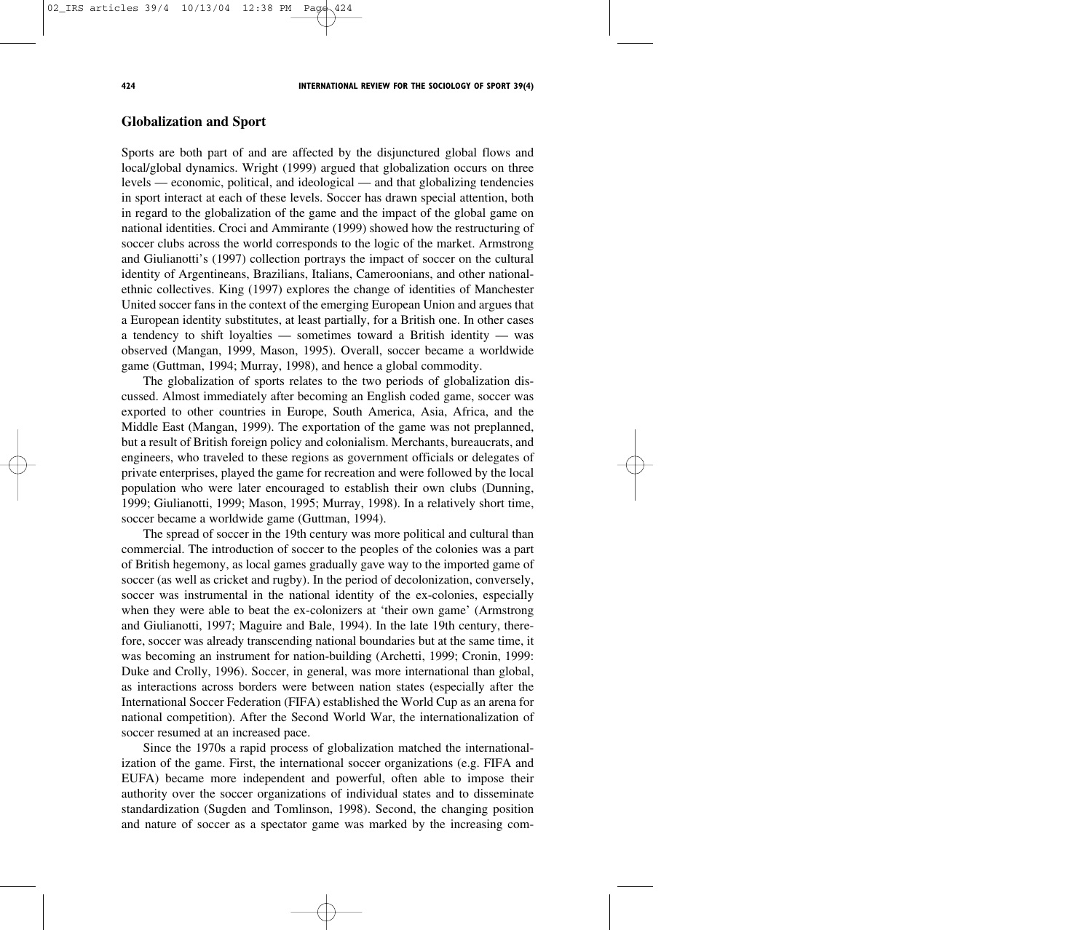## **Globalization and Sport**

Sports are both part of and are affected by the disjunctured global flows and local/global dynamics. Wright (1999) argued that globalization occurs on three levels — economic, political, and ideological — and that globalizing tendencies in sport interact at each of these levels. Soccer has drawn special attention, both in regard to the globalization of the game and the impact of the global game on national identities. Croci and Ammirante (1999) showed how the restructuring of soccer clubs across the world corresponds to the logic of the market. Armstrong and Giulianotti's (1997) collection portrays the impact of soccer on the cultural identity of Argentineans, Brazilians, Italians, Cameroonians, and other nationalethnic collectives. King (1997) explores the change of identities of Manchester United soccer fans in the context of the emerging European Union and argues that a European identity substitutes, at least partially, for a British one. In other cases a tendency to shift loyalties — sometimes toward a British identity — was observed (Mangan, 1999, Mason, 1995). Overall, soccer became a worldwide game (Guttman, 1994; Murray, 1998), and hence a global commodity.

The globalization of sports relates to the two periods of globalization discussed. Almost immediately after becoming an English coded game, soccer was exported to other countries in Europe, South America, Asia, Africa, and the Middle East (Mangan, 1999). The exportation of the game was not preplanned, but a result of British foreign policy and colonialism. Merchants, bureaucrats, and engineers, who traveled to these regions as government officials or delegates of private enterprises, played the game for recreation and were followed by the local population who were later encouraged to establish their own clubs (Dunning, 1999; Giulianotti, 1999; Mason, 1995; Murray, 1998). In a relatively short time, soccer became a worldwide game (Guttman, 1994).

The spread of soccer in the 19th century was more political and cultural than commercial. The introduction of soccer to the peoples of the colonies was a part of British hegemony, as local games gradually gave way to the imported game of soccer (as well as cricket and rugby). In the period of decolonization, conversely, soccer was instrumental in the national identity of the ex-colonies, especially when they were able to beat the ex-colonizers at 'their own game' (Armstrong and Giulianotti, 1997; Maguire and Bale, 1994). In the late 19th century, therefore, soccer was already transcending national boundaries but at the same time, it was becoming an instrument for nation-building (Archetti, 1999; Cronin, 1999: Duke and Crolly, 1996). Soccer, in general, was more international than global, as interactions across borders were between nation states (especially after the International Soccer Federation (FIFA) established the World Cup as an arena for national competition). After the Second World War, the internationalization of soccer resumed at an increased pace.

Since the 1970s a rapid process of globalization matched the internationalization of the game. First, the international soccer organizations (e.g. FIFA and EUFA) became more independent and powerful, often able to impose their authority over the soccer organizations of individual states and to disseminate standardization (Sugden and Tomlinson, 1998). Second, the changing position and nature of soccer as a spectator game was marked by the increasing com-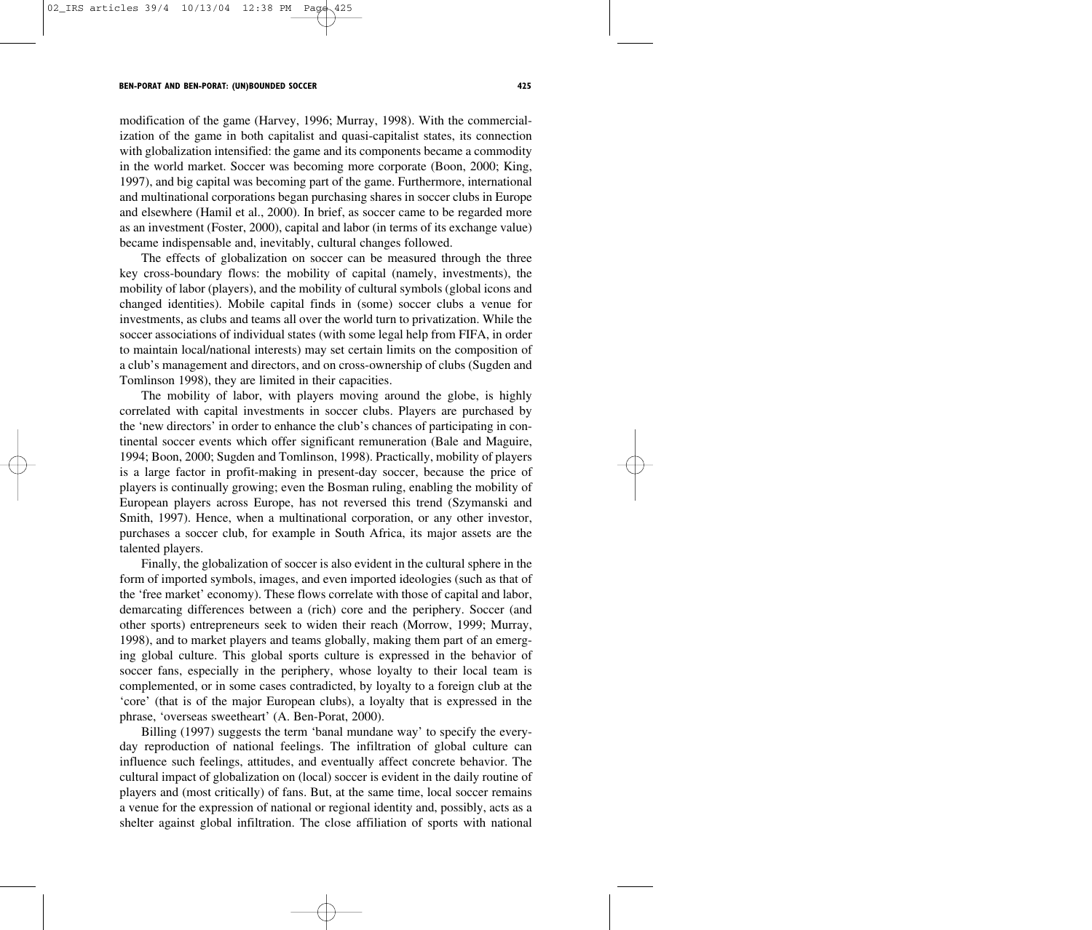modification of the game (Harvey, 1996; Murray, 1998). With the commercialization of the game in both capitalist and quasi-capitalist states, its connection with globalization intensified: the game and its components became a commodity in the world market. Soccer was becoming more corporate (Boon, 2000; King, 1997), and big capital was becoming part of the game. Furthermore, international and multinational corporations began purchasing shares in soccer clubs in Europe and elsewhere (Hamil et al., 2000). In brief, as soccer came to be regarded more as an investment (Foster, 2000), capital and labor (in terms of its exchange value) became indispensable and, inevitably, cultural changes followed.

The effects of globalization on soccer can be measured through the three key cross-boundary flows: the mobility of capital (namely, investments), the mobility of labor (players), and the mobility of cultural symbols (global icons and changed identities). Mobile capital finds in (some) soccer clubs a venue for investments, as clubs and teams all over the world turn to privatization. While the soccer associations of individual states (with some legal help from FIFA, in order to maintain local/national interests) may set certain limits on the composition of a club's management and directors, and on cross-ownership of clubs (Sugden and Tomlinson 1998), they are limited in their capacities.

The mobility of labor, with players moving around the globe, is highly correlated with capital investments in soccer clubs. Players are purchased by the 'new directors' in order to enhance the club's chances of participating in continental soccer events which offer significant remuneration (Bale and Maguire, 1994; Boon, 2000; Sugden and Tomlinson, 1998). Practically, mobility of players is a large factor in profit-making in present-day soccer, because the price of players is continually growing; even the Bosman ruling, enabling the mobility of European players across Europe, has not reversed this trend (Szymanski and Smith, 1997). Hence, when a multinational corporation, or any other investor, purchases a soccer club, for example in South Africa, its major assets are the talented players.

Finally, the globalization of soccer is also evident in the cultural sphere in the form of imported symbols, images, and even imported ideologies (such as that of the 'free market' economy). These flows correlate with those of capital and labor, demarcating differences between a (rich) core and the periphery. Soccer (and other sports) entrepreneurs seek to widen their reach (Morrow, 1999; Murray, 1998), and to market players and teams globally, making them part of an emerging global culture. This global sports culture is expressed in the behavior of soccer fans, especially in the periphery, whose loyalty to their local team is complemented, or in some cases contradicted, by loyalty to a foreign club at the 'core' (that is of the major European clubs), a loyalty that is expressed in the phrase, 'overseas sweetheart' (A. Ben-Porat, 2000).

Billing (1997) suggests the term 'banal mundane way' to specify the everyday reproduction of national feelings. The infiltration of global culture can influence such feelings, attitudes, and eventually affect concrete behavior. The cultural impact of globalization on (local) soccer is evident in the daily routine of players and (most critically) of fans. But, at the same time, local soccer remains a venue for the expression of national or regional identity and, possibly, acts as a shelter against global infiltration. The close affiliation of sports with national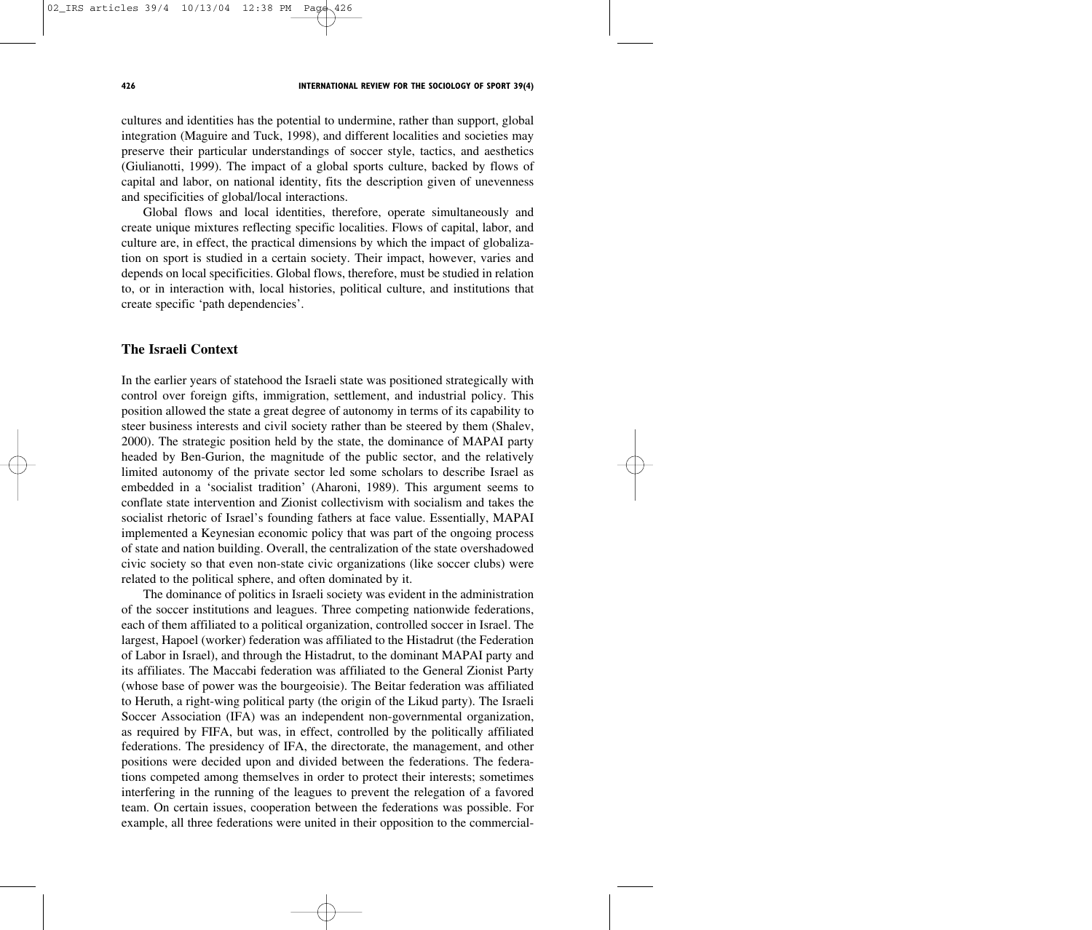#### **426 INTERNATIONAL REVIEW FOR THE SOCIOLOGY OF SPORT 39(4)**

cultures and identities has the potential to undermine, rather than support, global integration (Maguire and Tuck, 1998), and different localities and societies may preserve their particular understandings of soccer style, tactics, and aesthetics (Giulianotti, 1999). The impact of a global sports culture, backed by flows of capital and labor, on national identity, fits the description given of unevenness and specificities of global/local interactions.

Global flows and local identities, therefore, operate simultaneously and create unique mixtures reflecting specific localities. Flows of capital, labor, and culture are, in effect, the practical dimensions by which the impact of globalization on sport is studied in a certain society. Their impact, however, varies and depends on local specificities. Global flows, therefore, must be studied in relation to, or in interaction with, local histories, political culture, and institutions that create specific 'path dependencies'.

## **The Israeli Context**

In the earlier years of statehood the Israeli state was positioned strategically with control over foreign gifts, immigration, settlement, and industrial policy. This position allowed the state a great degree of autonomy in terms of its capability to steer business interests and civil society rather than be steered by them (Shalev, 2000). The strategic position held by the state, the dominance of MAPAI party headed by Ben-Gurion, the magnitude of the public sector, and the relatively limited autonomy of the private sector led some scholars to describe Israel as embedded in a 'socialist tradition' (Aharoni, 1989). This argument seems to conflate state intervention and Zionist collectivism with socialism and takes the socialist rhetoric of Israel's founding fathers at face value. Essentially, MAPAI implemented a Keynesian economic policy that was part of the ongoing process of state and nation building. Overall, the centralization of the state overshadowed civic society so that even non-state civic organizations (like soccer clubs) were related to the political sphere, and often dominated by it.

The dominance of politics in Israeli society was evident in the administration of the soccer institutions and leagues. Three competing nationwide federations, each of them affiliated to a political organization, controlled soccer in Israel. The largest, Hapoel (worker) federation was affiliated to the Histadrut (the Federation of Labor in Israel), and through the Histadrut, to the dominant MAPAI party and its affiliates. The Maccabi federation was affiliated to the General Zionist Party (whose base of power was the bourgeoisie). The Beitar federation was affiliated to Heruth, a right-wing political party (the origin of the Likud party). The Israeli Soccer Association (IFA) was an independent non-governmental organization, as required by FIFA, but was, in effect, controlled by the politically affiliated federations. The presidency of IFA, the directorate, the management, and other positions were decided upon and divided between the federations. The federations competed among themselves in order to protect their interests; sometimes interfering in the running of the leagues to prevent the relegation of a favored team. On certain issues, cooperation between the federations was possible. For example, all three federations were united in their opposition to the commercial-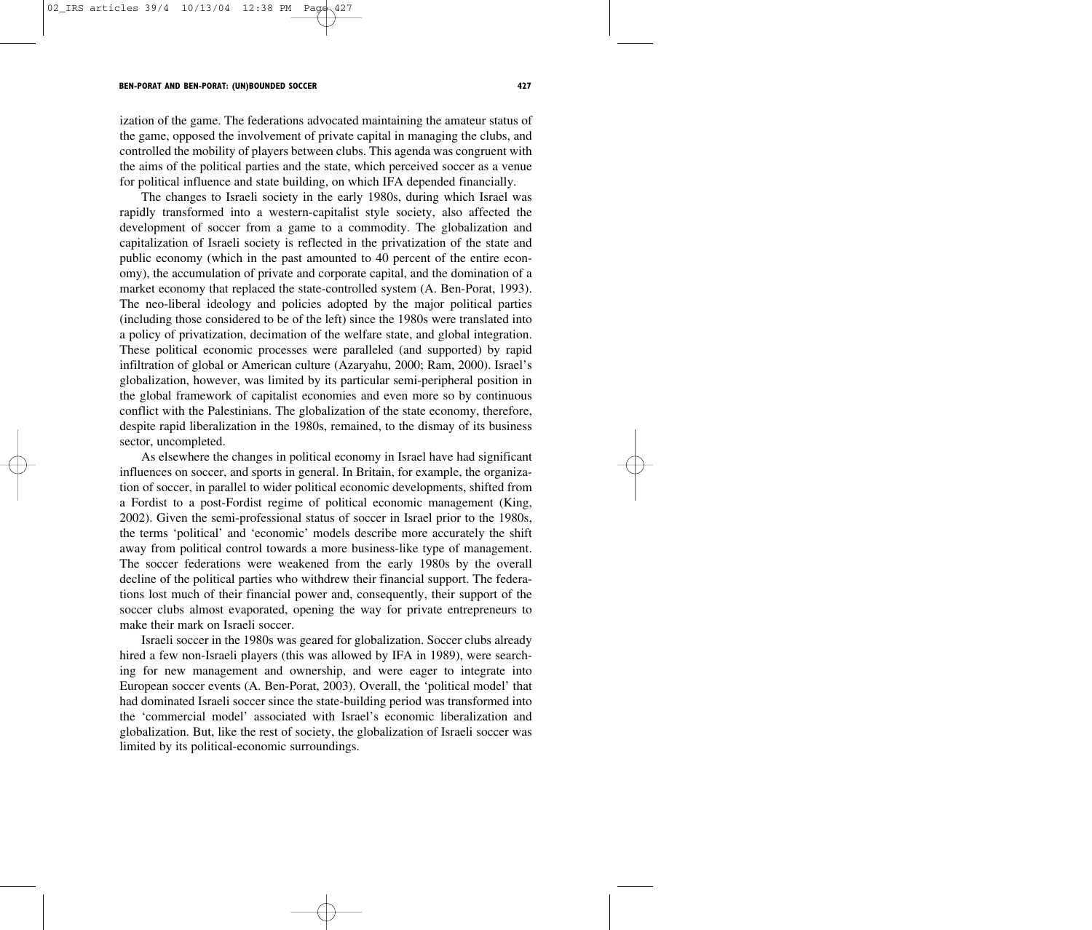ization of the game. The federations advocated maintaining the amateur status of the game, opposed the involvement of private capital in managing the clubs, and controlled the mobility of players between clubs. This agenda was congruent with the aims of the political parties and the state, which perceived soccer as a venue for political influence and state building, on which IFA depended financially.

The changes to Israeli society in the early 1980s, during which Israel was rapidly transformed into a western-capitalist style society, also affected the development of soccer from a game to a commodity. The globalization and capitalization of Israeli society is reflected in the privatization of the state and public economy (which in the past amounted to 40 percent of the entire economy), the accumulation of private and corporate capital, and the domination of a market economy that replaced the state-controlled system (A. Ben-Porat, 1993). The neo-liberal ideology and policies adopted by the major political parties (including those considered to be of the left) since the 1980s were translated into a policy of privatization, decimation of the welfare state, and global integration. These political economic processes were paralleled (and supported) by rapid infiltration of global or American culture (Azaryahu, 2000; Ram, 2000). Israel's globalization, however, was limited by its particular semi-peripheral position in the global framework of capitalist economies and even more so by continuous conflict with the Palestinians. The globalization of the state economy, therefore, despite rapid liberalization in the 1980s, remained, to the dismay of its business sector, uncompleted.

As elsewhere the changes in political economy in Israel have had significant influences on soccer, and sports in general. In Britain, for example, the organization of soccer, in parallel to wider political economic developments, shifted from a Fordist to a post-Fordist regime of political economic management (King, 2002). Given the semi-professional status of soccer in Israel prior to the 1980s, the terms 'political' and 'economic' models describe more accurately the shift away from political control towards a more business-like type of management. The soccer federations were weakened from the early 1980s by the overall decline of the political parties who withdrew their financial support. The federations lost much of their financial power and, consequently, their support of the soccer clubs almost evaporated, opening the way for private entrepreneurs to make their mark on Israeli soccer.

Israeli soccer in the 1980s was geared for globalization. Soccer clubs already hired a few non-Israeli players (this was allowed by IFA in 1989), were searching for new management and ownership, and were eager to integrate into European soccer events (A. Ben-Porat, 2003). Overall, the 'political model' that had dominated Israeli soccer since the state-building period was transformed into the 'commercial model' associated with Israel's economic liberalization and globalization. But, like the rest of society, the globalization of Israeli soccer was limited by its political-economic surroundings.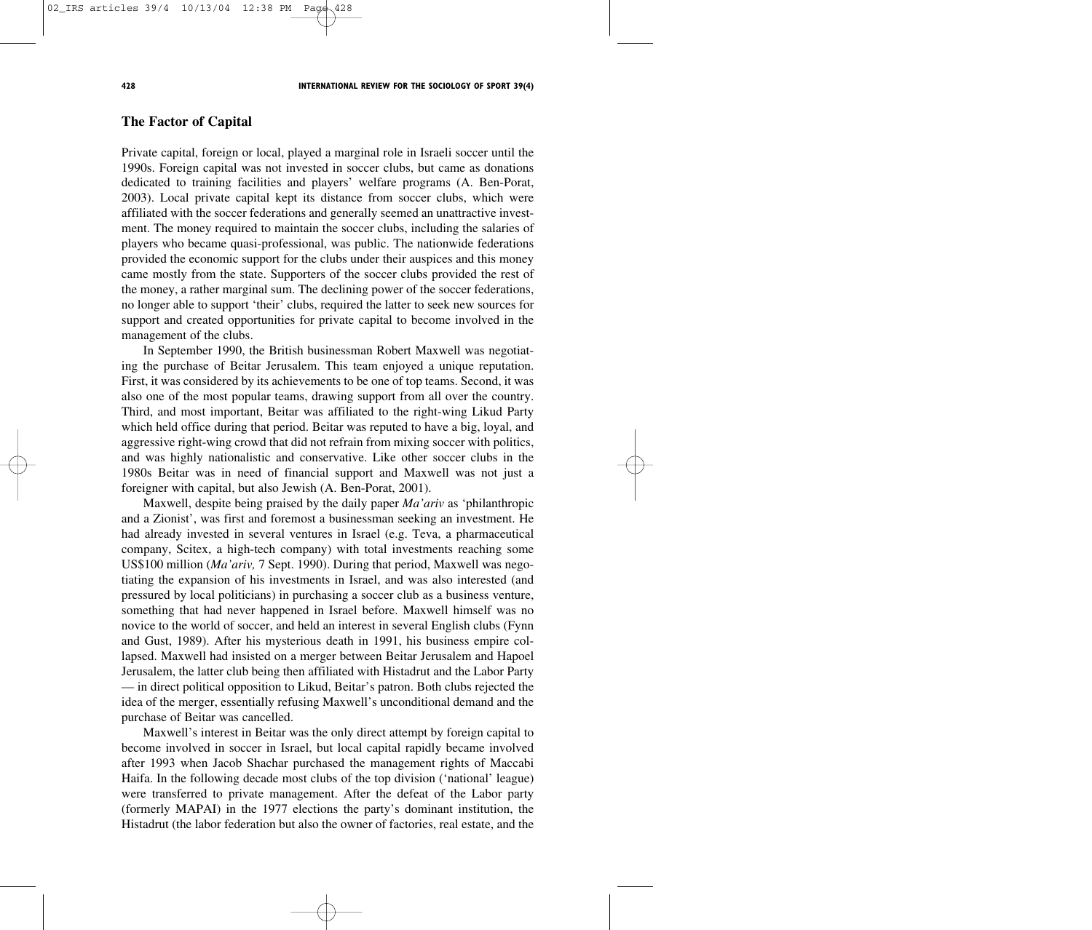**The Factor of Capital**

Private capital, foreign or local, played a marginal role in Israeli soccer until the 1990s. Foreign capital was not invested in soccer clubs, but came as donations dedicated to training facilities and players' welfare programs (A. Ben-Porat, 2003). Local private capital kept its distance from soccer clubs, which were affiliated with the soccer federations and generally seemed an unattractive investment. The money required to maintain the soccer clubs, including the salaries of players who became quasi-professional, was public. The nationwide federations provided the economic support for the clubs under their auspices and this money came mostly from the state. Supporters of the soccer clubs provided the rest of the money, a rather marginal sum. The declining power of the soccer federations, no longer able to support 'their' clubs, required the latter to seek new sources for support and created opportunities for private capital to become involved in the management of the clubs.

In September 1990, the British businessman Robert Maxwell was negotiating the purchase of Beitar Jerusalem. This team enjoyed a unique reputation. First, it was considered by its achievements to be one of top teams. Second, it was also one of the most popular teams, drawing support from all over the country. Third, and most important, Beitar was affiliated to the right-wing Likud Party which held office during that period. Beitar was reputed to have a big, loyal, and aggressive right-wing crowd that did not refrain from mixing soccer with politics, and was highly nationalistic and conservative. Like other soccer clubs in the 1980s Beitar was in need of financial support and Maxwell was not just a foreigner with capital, but also Jewish (A. Ben-Porat, 2001).

Maxwell, despite being praised by the daily paper *Ma'ariv* as 'philanthropic and a Zionist', was first and foremost a businessman seeking an investment. He had already invested in several ventures in Israel (e.g. Teva, a pharmaceutical company, Scitex, a high-tech company) with total investments reaching some US\$100 million (*Ma'ariv,* 7 Sept. 1990). During that period, Maxwell was negotiating the expansion of his investments in Israel, and was also interested (and pressured by local politicians) in purchasing a soccer club as a business venture, something that had never happened in Israel before. Maxwell himself was no novice to the world of soccer, and held an interest in several English clubs (Fynn and Gust, 1989). After his mysterious death in 1991, his business empire collapsed. Maxwell had insisted on a merger between Beitar Jerusalem and Hapoel Jerusalem, the latter club being then affiliated with Histadrut and the Labor Party — in direct political opposition to Likud, Beitar's patron. Both clubs rejected the idea of the merger, essentially refusing Maxwell's unconditional demand and the purchase of Beitar was cancelled.

Maxwell's interest in Beitar was the only direct attempt by foreign capital to become involved in soccer in Israel, but local capital rapidly became involved after 1993 when Jacob Shachar purchased the management rights of Maccabi Haifa. In the following decade most clubs of the top division ('national' league) were transferred to private management. After the defeat of the Labor party (formerly MAPAI) in the 1977 elections the party's dominant institution, the Histadrut (the labor federation but also the owner of factories, real estate, and the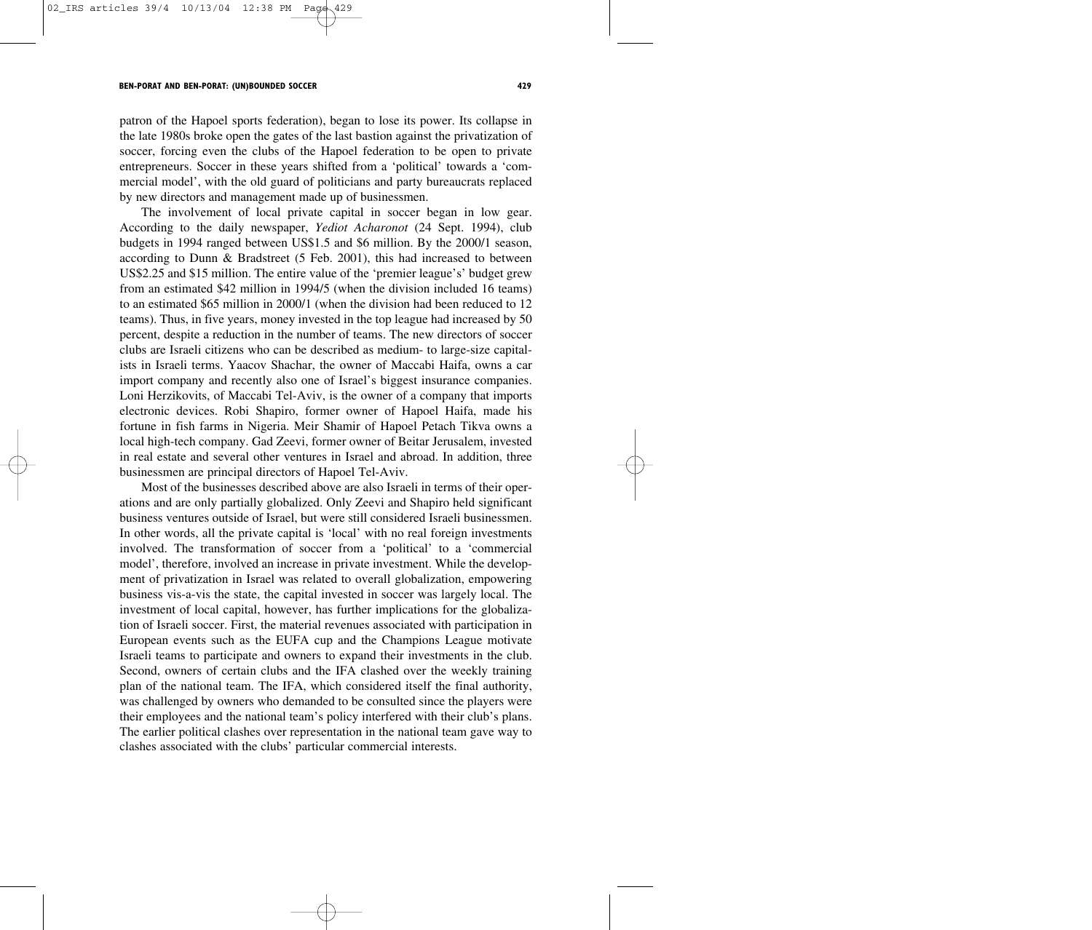patron of the Hapoel sports federation), began to lose its power. Its collapse in the late 1980s broke open the gates of the last bastion against the privatization of soccer, forcing even the clubs of the Hapoel federation to be open to private entrepreneurs. Soccer in these years shifted from a 'political' towards a 'commercial model', with the old guard of politicians and party bureaucrats replaced by new directors and management made up of businessmen.

The involvement of local private capital in soccer began in low gear. According to the daily newspaper, *Yediot Acharonot* (24 Sept. 1994), club budgets in 1994 ranged between US\$1.5 and \$6 million. By the 2000/1 season, according to Dunn & Bradstreet (5 Feb. 2001), this had increased to between US\$2.25 and \$15 million. The entire value of the 'premier league's' budget grew from an estimated \$42 million in 1994/5 (when the division included 16 teams) to an estimated \$65 million in 2000/1 (when the division had been reduced to 12 teams). Thus, in five years, money invested in the top league had increased by 50 percent, despite a reduction in the number of teams. The new directors of soccer clubs are Israeli citizens who can be described as medium- to large-size capitalists in Israeli terms. Yaacov Shachar, the owner of Maccabi Haifa, owns a car import company and recently also one of Israel's biggest insurance companies. Loni Herzikovits, of Maccabi Tel-Aviv, is the owner of a company that imports electronic devices. Robi Shapiro, former owner of Hapoel Haifa, made his fortune in fish farms in Nigeria. Meir Shamir of Hapoel Petach Tikva owns a local high-tech company. Gad Zeevi, former owner of Beitar Jerusalem, invested in real estate and several other ventures in Israel and abroad. In addition, three businessmen are principal directors of Hapoel Tel-Aviv.

Most of the businesses described above are also Israeli in terms of their operations and are only partially globalized. Only Zeevi and Shapiro held significant business ventures outside of Israel, but were still considered Israeli businessmen. In other words, all the private capital is 'local' with no real foreign investments involved. The transformation of soccer from a 'political' to a 'commercial model', therefore, involved an increase in private investment. While the development of privatization in Israel was related to overall globalization, empowering business vis-a-vis the state, the capital invested in soccer was largely local. The investment of local capital, however, has further implications for the globalization of Israeli soccer. First, the material revenues associated with participation in European events such as the EUFA cup and the Champions League motivate Israeli teams to participate and owners to expand their investments in the club. Second, owners of certain clubs and the IFA clashed over the weekly training plan of the national team. The IFA, which considered itself the final authority, was challenged by owners who demanded to be consulted since the players were their employees and the national team's policy interfered with their club's plans. The earlier political clashes over representation in the national team gave way to clashes associated with the clubs' particular commercial interests.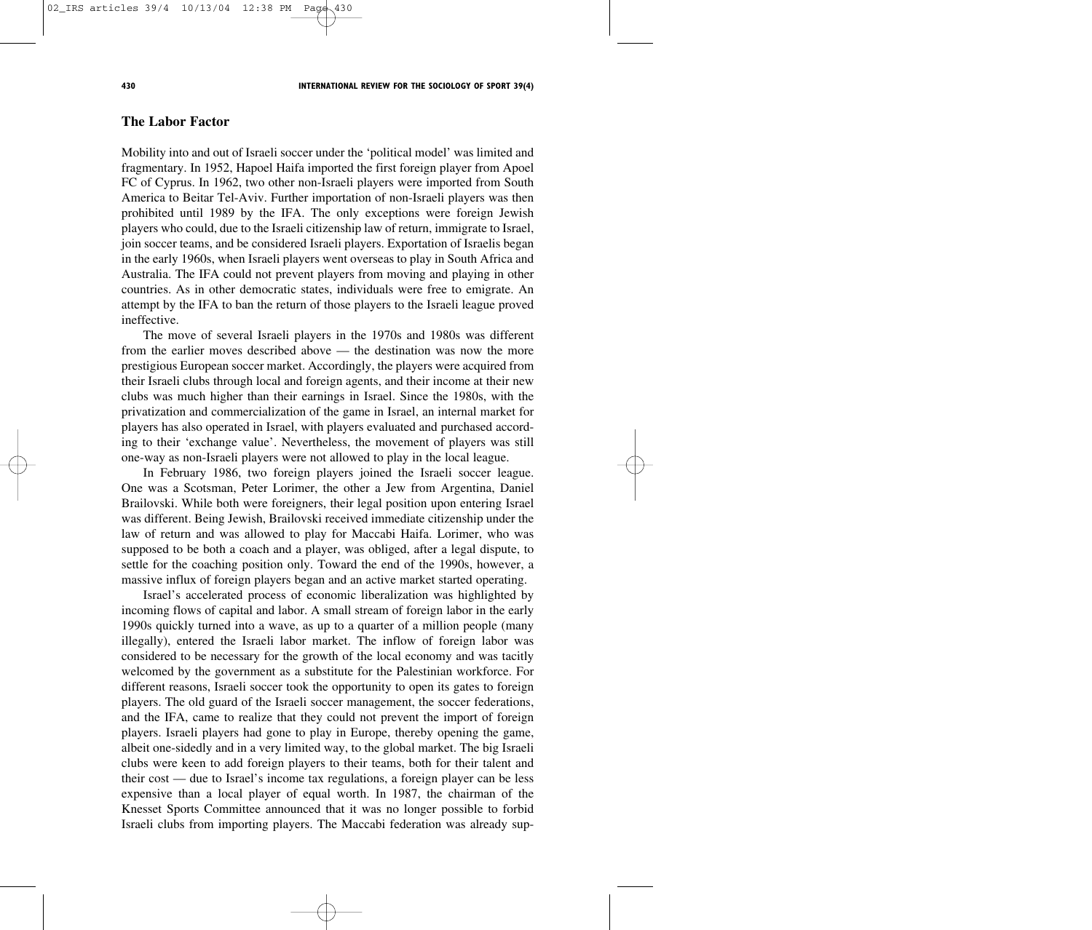## **The Labor Factor**

Mobility into and out of Israeli soccer under the 'political model' was limited and fragmentary. In 1952, Hapoel Haifa imported the first foreign player from Apoel FC of Cyprus. In 1962, two other non-Israeli players were imported from South America to Beitar Tel-Aviv. Further importation of non-Israeli players was then prohibited until 1989 by the IFA. The only exceptions were foreign Jewish players who could, due to the Israeli citizenship law of return, immigrate to Israel, join soccer teams, and be considered Israeli players. Exportation of Israelis began in the early 1960s, when Israeli players went overseas to play in South Africa and Australia. The IFA could not prevent players from moving and playing in other countries. As in other democratic states, individuals were free to emigrate. An attempt by the IFA to ban the return of those players to the Israeli league proved ineffective.

The move of several Israeli players in the 1970s and 1980s was different from the earlier moves described above — the destination was now the more prestigious European soccer market. Accordingly, the players were acquired from their Israeli clubs through local and foreign agents, and their income at their new clubs was much higher than their earnings in Israel. Since the 1980s, with the privatization and commercialization of the game in Israel, an internal market for players has also operated in Israel, with players evaluated and purchased according to their 'exchange value'. Nevertheless, the movement of players was still one-way as non-Israeli players were not allowed to play in the local league.

In February 1986, two foreign players joined the Israeli soccer league. One was a Scotsman, Peter Lorimer, the other a Jew from Argentina, Daniel Brailovski. While both were foreigners, their legal position upon entering Israel was different. Being Jewish, Brailovski received immediate citizenship under the law of return and was allowed to play for Maccabi Haifa. Lorimer, who was supposed to be both a coach and a player, was obliged, after a legal dispute, to settle for the coaching position only. Toward the end of the 1990s, however, a massive influx of foreign players began and an active market started operating.

Israel's accelerated process of economic liberalization was highlighted by incoming flows of capital and labor. A small stream of foreign labor in the early 1990s quickly turned into a wave, as up to a quarter of a million people (many illegally), entered the Israeli labor market. The inflow of foreign labor was considered to be necessary for the growth of the local economy and was tacitly welcomed by the government as a substitute for the Palestinian workforce. For different reasons, Israeli soccer took the opportunity to open its gates to foreign players. The old guard of the Israeli soccer management, the soccer federations, and the IFA, came to realize that they could not prevent the import of foreign players. Israeli players had gone to play in Europe, thereby opening the game, albeit one-sidedly and in a very limited way, to the global market. The big Israeli clubs were keen to add foreign players to their teams, both for their talent and their cost — due to Israel's income tax regulations, a foreign player can be less expensive than a local player of equal worth. In 1987, the chairman of the Knesset Sports Committee announced that it was no longer possible to forbid Israeli clubs from importing players. The Maccabi federation was already sup-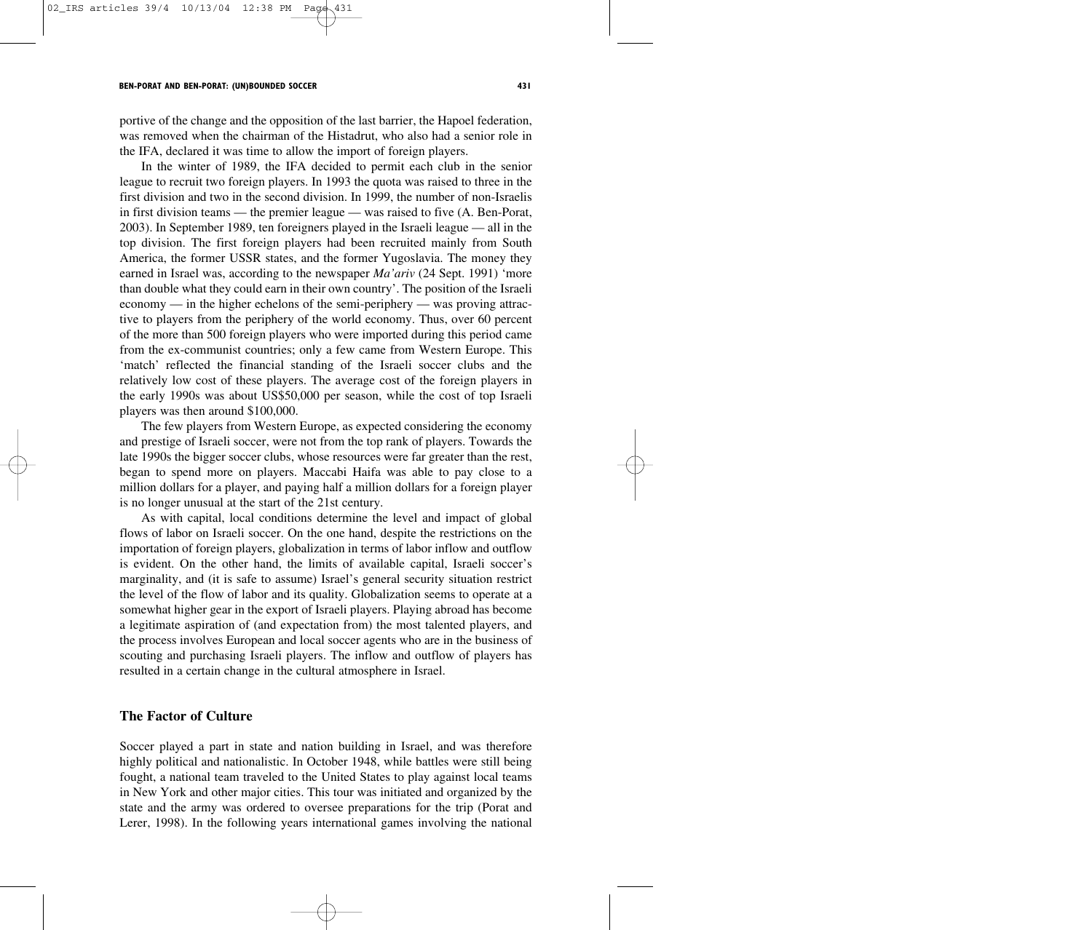portive of the change and the opposition of the last barrier, the Hapoel federation, was removed when the chairman of the Histadrut, who also had a senior role in the IFA, declared it was time to allow the import of foreign players.

In the winter of 1989, the IFA decided to permit each club in the senior league to recruit two foreign players. In 1993 the quota was raised to three in the first division and two in the second division. In 1999, the number of non-Israelis in first division teams — the premier league — was raised to five (A. Ben-Porat, 2003). In September 1989, ten foreigners played in the Israeli league — all in the top division. The first foreign players had been recruited mainly from South America, the former USSR states, and the former Yugoslavia. The money they earned in Israel was, according to the newspaper *Ma'ariv* (24 Sept. 1991) 'more than double what they could earn in their own country'. The position of the Israeli economy — in the higher echelons of the semi-periphery — was proving attractive to players from the periphery of the world economy. Thus, over 60 percent of the more than 500 foreign players who were imported during this period came from the ex-communist countries; only a few came from Western Europe. This 'match' reflected the financial standing of the Israeli soccer clubs and the relatively low cost of these players. The average cost of the foreign players in the early 1990s was about US\$50,000 per season, while the cost of top Israeli players was then around \$100,000.

The few players from Western Europe, as expected considering the economy and prestige of Israeli soccer, were not from the top rank of players. Towards the late 1990s the bigger soccer clubs, whose resources were far greater than the rest, began to spend more on players. Maccabi Haifa was able to pay close to a million dollars for a player, and paying half a million dollars for a foreign player is no longer unusual at the start of the 21st century.

As with capital, local conditions determine the level and impact of global flows of labor on Israeli soccer. On the one hand, despite the restrictions on the importation of foreign players, globalization in terms of labor inflow and outflow is evident. On the other hand, the limits of available capital, Israeli soccer's marginality, and (it is safe to assume) Israel's general security situation restrict the level of the flow of labor and its quality. Globalization seems to operate at a somewhat higher gear in the export of Israeli players. Playing abroad has become a legitimate aspiration of (and expectation from) the most talented players, and the process involves European and local soccer agents who are in the business of scouting and purchasing Israeli players. The inflow and outflow of players has resulted in a certain change in the cultural atmosphere in Israel.

## **The Factor of Culture**

Soccer played a part in state and nation building in Israel, and was therefore highly political and nationalistic. In October 1948, while battles were still being fought, a national team traveled to the United States to play against local teams in New York and other major cities. This tour was initiated and organized by the state and the army was ordered to oversee preparations for the trip (Porat and Lerer, 1998). In the following years international games involving the national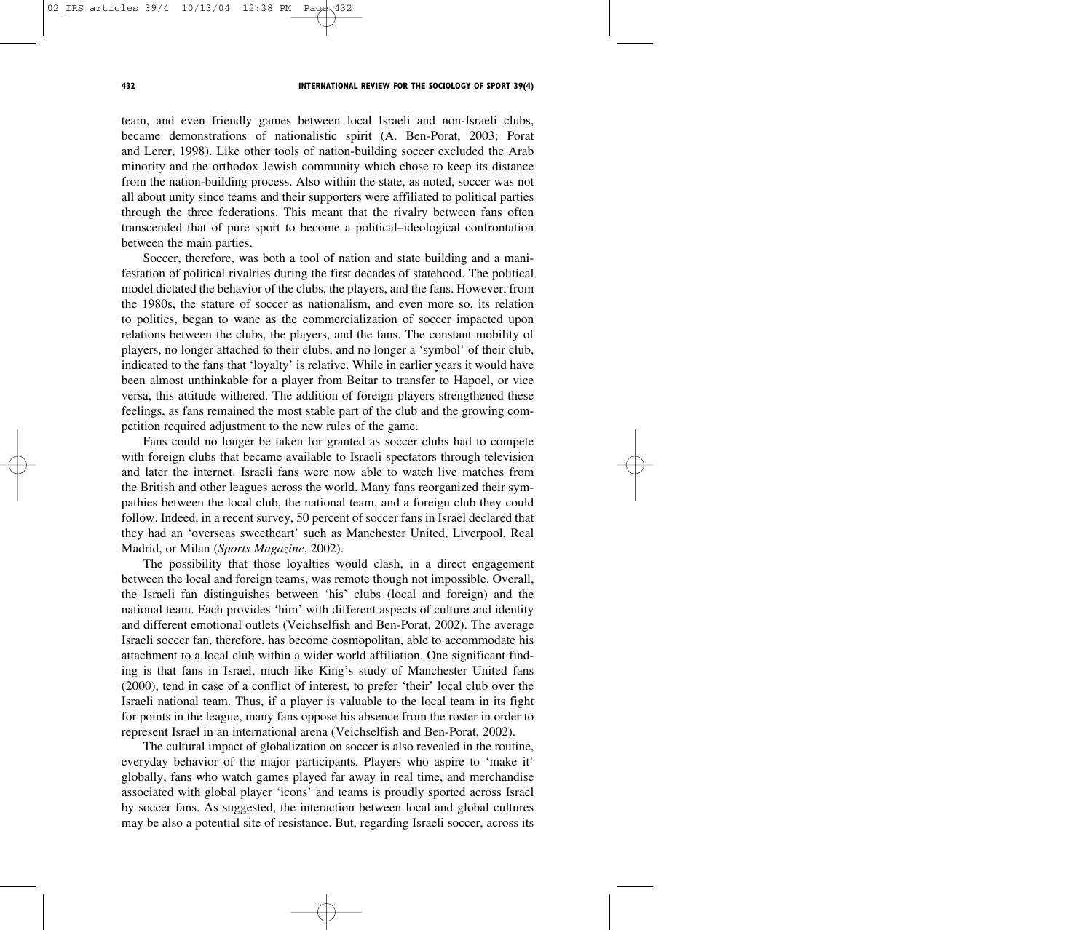team, and even friendly games between local Israeli and non-Israeli clubs, became demonstrations of nationalistic spirit (A. Ben-Porat, 2003; Porat and Lerer, 1998). Like other tools of nation-building soccer excluded the Arab minority and the orthodox Jewish community which chose to keep its distance from the nation-building process. Also within the state, as noted, soccer was not all about unity since teams and their supporters were affiliated to political parties through the three federations. This meant that the rivalry between fans often transcended that of pure sport to become a political–ideological confrontation between the main parties.

Soccer, therefore, was both a tool of nation and state building and a manifestation of political rivalries during the first decades of statehood. The political model dictated the behavior of the clubs, the players, and the fans. However, from the 1980s, the stature of soccer as nationalism, and even more so, its relation to politics, began to wane as the commercialization of soccer impacted upon relations between the clubs, the players, and the fans. The constant mobility of players, no longer attached to their clubs, and no longer a 'symbol' of their club, indicated to the fans that 'loyalty' is relative. While in earlier years it would have been almost unthinkable for a player from Beitar to transfer to Hapoel, or vice versa, this attitude withered. The addition of foreign players strengthened these feelings, as fans remained the most stable part of the club and the growing competition required adjustment to the new rules of the game.

Fans could no longer be taken for granted as soccer clubs had to compete with foreign clubs that became available to Israeli spectators through television and later the internet. Israeli fans were now able to watch live matches from the British and other leagues across the world. Many fans reorganized their sympathies between the local club, the national team, and a foreign club they could follow. Indeed, in a recent survey, 50 percent of soccer fans in Israel declared that they had an 'overseas sweetheart' such as Manchester United, Liverpool, Real Madrid, or Milan (*Sports Magazine*, 2002).

The possibility that those loyalties would clash, in a direct engagement between the local and foreign teams, was remote though not impossible. Overall, the Israeli fan distinguishes between 'his' clubs (local and foreign) and the national team. Each provides 'him' with different aspects of culture and identity and different emotional outlets (Veichselfish and Ben-Porat, 2002). The average Israeli soccer fan, therefore, has become cosmopolitan, able to accommodate his attachment to a local club within a wider world affiliation. One significant finding is that fans in Israel, much like King's study of Manchester United fans (2000), tend in case of a conflict of interest, to prefer 'their' local club over the Israeli national team. Thus, if a player is valuable to the local team in its fight for points in the league, many fans oppose his absence from the roster in order to represent Israel in an international arena (Veichselfish and Ben-Porat, 2002).

The cultural impact of globalization on soccer is also revealed in the routine, everyday behavior of the major participants. Players who aspire to 'make it' globally, fans who watch games played far away in real time, and merchandise associated with global player 'icons' and teams is proudly sported across Israel by soccer fans. As suggested, the interaction between local and global cultures may be also a potential site of resistance. But, regarding Israeli soccer, across its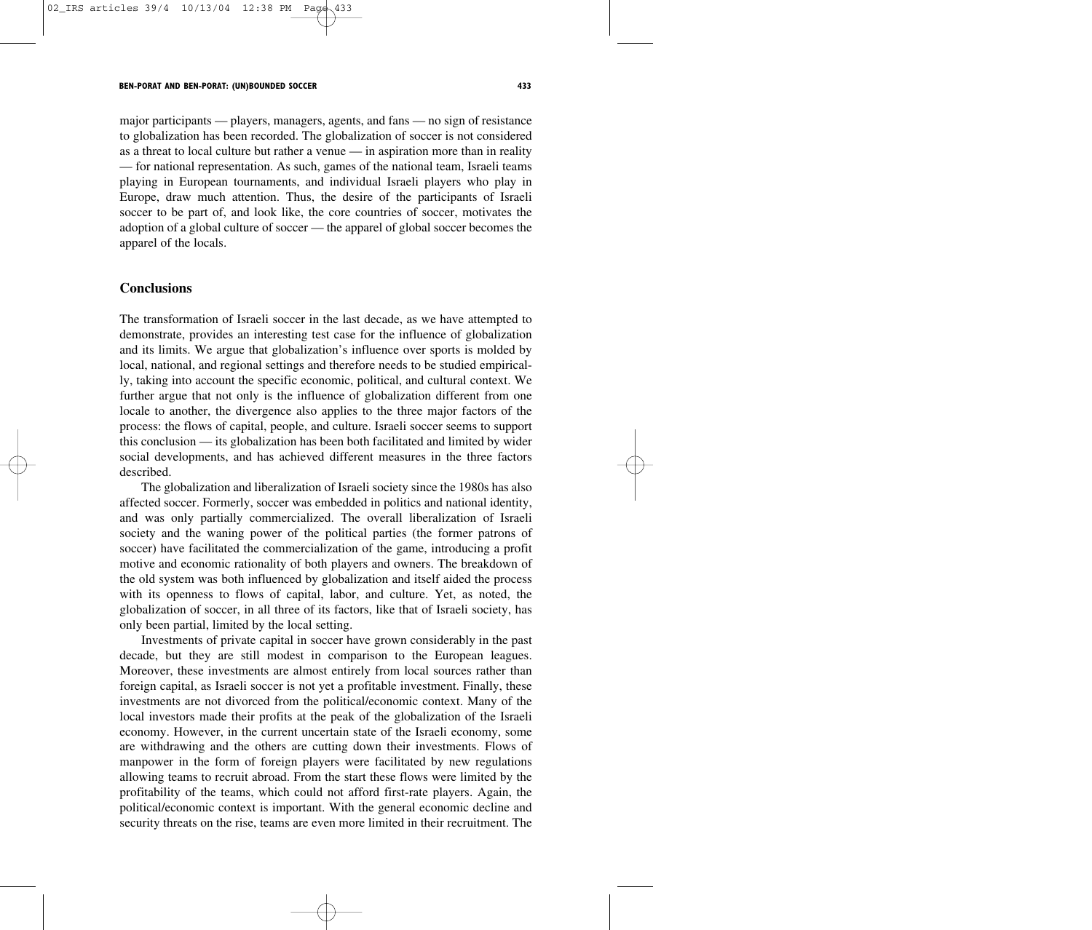major participants — players, managers, agents, and fans — no sign of resistance to globalization has been recorded. The globalization of soccer is not considered as a threat to local culture but rather a venue — in aspiration more than in reality — for national representation. As such, games of the national team, Israeli teams playing in European tournaments, and individual Israeli players who play in Europe, draw much attention. Thus, the desire of the participants of Israeli soccer to be part of, and look like, the core countries of soccer, motivates the adoption of a global culture of soccer — the apparel of global soccer becomes the apparel of the locals.

### **Conclusions**

The transformation of Israeli soccer in the last decade, as we have attempted to demonstrate, provides an interesting test case for the influence of globalization and its limits. We argue that globalization's influence over sports is molded by local, national, and regional settings and therefore needs to be studied empirically, taking into account the specific economic, political, and cultural context. We further argue that not only is the influence of globalization different from one locale to another, the divergence also applies to the three major factors of the process: the flows of capital, people, and culture. Israeli soccer seems to support this conclusion — its globalization has been both facilitated and limited by wider social developments, and has achieved different measures in the three factors described.

The globalization and liberalization of Israeli society since the 1980s has also affected soccer. Formerly, soccer was embedded in politics and national identity, and was only partially commercialized. The overall liberalization of Israeli society and the waning power of the political parties (the former patrons of soccer) have facilitated the commercialization of the game, introducing a profit motive and economic rationality of both players and owners. The breakdown of the old system was both influenced by globalization and itself aided the process with its openness to flows of capital, labor, and culture. Yet, as noted, the globalization of soccer, in all three of its factors, like that of Israeli society, has only been partial, limited by the local setting.

Investments of private capital in soccer have grown considerably in the past decade, but they are still modest in comparison to the European leagues. Moreover, these investments are almost entirely from local sources rather than foreign capital, as Israeli soccer is not yet a profitable investment. Finally, these investments are not divorced from the political/economic context. Many of the local investors made their profits at the peak of the globalization of the Israeli economy. However, in the current uncertain state of the Israeli economy, some are withdrawing and the others are cutting down their investments. Flows of manpower in the form of foreign players were facilitated by new regulations allowing teams to recruit abroad. From the start these flows were limited by the profitability of the teams, which could not afford first-rate players. Again, the political/economic context is important. With the general economic decline and security threats on the rise, teams are even more limited in their recruitment. The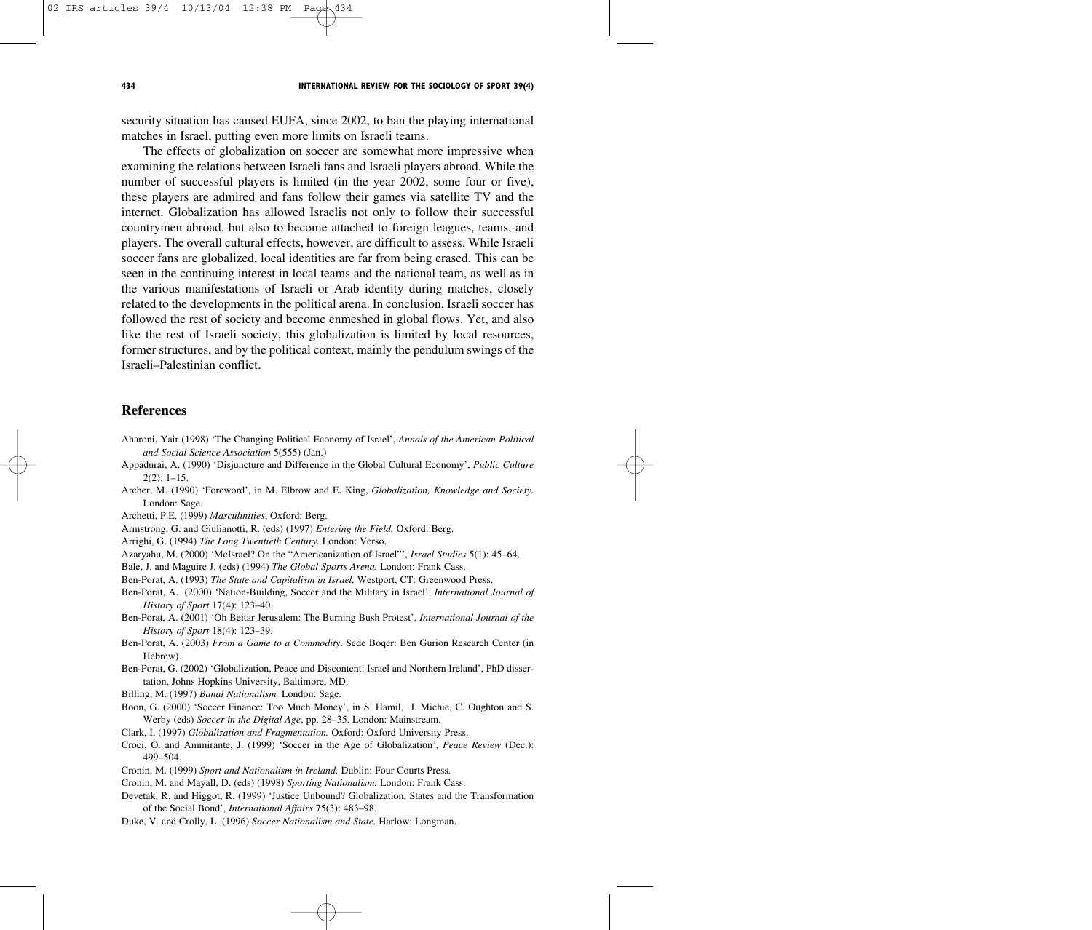security situation has caused EUFA, since 2002, to ban the playing international matches in Israel, putting even more limits on Israeli teams.

The effects of globalization on soccer are somewhat more impressive when examining the relations between Israeli fans and Israeli players abroad. While the number of successful players is limited (in the year 2002, some four or five), these players are admired and fans follow their games via satellite TV and the internet. Globalization has allowed Israelis not only to follow their successful countrymen abroad, but also to become attached to foreign leagues, teams, and players. The overall cultural effects, however, are difficult to assess. While Israeli soccer fans are globalized, local identities are far from being erased. This can be seen in the continuing interest in local teams and the national team, as well as in the various manifestations of Israeli or Arab identity during matches, closely related to the developments in the political arena. In conclusion, Israeli soccer has followed the rest of society and become enmeshed in global flows. Yet, and also like the rest of Israeli society, this globalization is limited by local resources, former structures, and by the political context, mainly the pendulum swings of the Israeli–Palestinian conflict.

## **References**

- Aharoni, Yair (1998) 'The Changing Political Economy of Israel', *Annals of the American Political and Social Science Association* 5(555) (Jan.)
- Appadurai, A. (1990) 'Disjuncture and Difference in the Global Cultural Economy', *Public Culture*  $2(2): 1-15.$
- Archer, M. (1990) 'Foreword', in M. Elbrow and E. King, *Globalization, Knowledge and Society.* London: Sage.
- Archetti, P.E. (1999) *Masculinities*, Oxford: Berg.
- Armstrong, G. and Giulianotti, R. (eds) (1997) *Entering the Field.* Oxford: Berg.
- Arrighi, G. (1994) *The Long Twentieth Century.* London: Verso.
- Azaryahu, M. (2000) 'McIsrael? On the "Americanization of Israel"', *Israel Studies* 5(1): 45–64.

Bale, J. and Maguire J. (eds) (1994) *The Global Sports Arena.* London: Frank Cass.

Ben-Porat, A. (1993) *The State and Capitalism in Israel.* Westport, CT: Greenwood Press.

- Ben-Porat, A. (2000) 'Nation-Building, Soccer and the Military in Israel', *International Journal of History of Sport* 17(4): 123–40.
- Ben-Porat, A. (2001) 'Oh Beitar Jerusalem: The Burning Bush Protest', *International Journal of the History of Sport* 18(4): 123–39.
- Ben-Porat, A. (2003) *From a Game to a Commodity*. Sede Boqer: Ben Gurion Research Center (in Hebrew).
- Ben-Porat, G. (2002) 'Globalization, Peace and Discontent: Israel and Northern Ireland', PhD dissertation, Johns Hopkins University, Baltimore, MD.

Billing, M. (1997) *Banal Nationalism.* London: Sage.

Boon, G. (2000) 'Soccer Finance: Too Much Money', in S. Hamil, J. Michie, C. Oughton and S. Werby (eds) *Soccer in the Digital Age*, pp. 28–35. London: Mainstream.

Clark, I. (1997) *Globalization and Fragmentation.* Oxford: Oxford University Press.

Croci, O. and Ammirante, J. (1999) 'Soccer in the Age of Globalization', *Peace Review* (Dec.): 499–504.

Cronin, M. (1999) *Sport and Nationalism in Ireland.* Dublin: Four Courts Press.

Cronin, M. and Mayall, D. (eds) (1998) *Sporting Nationalism.* London: Frank Cass.

Devetak, R. and Higgot, R. (1999) 'Justice Unbound? Globalization, States and the Transformation of the Social Bond', *International Affairs* 75(3): 483–98.

Duke, V. and Crolly, L. (1996) *Soccer Nationalism and State.* Harlow: Longman.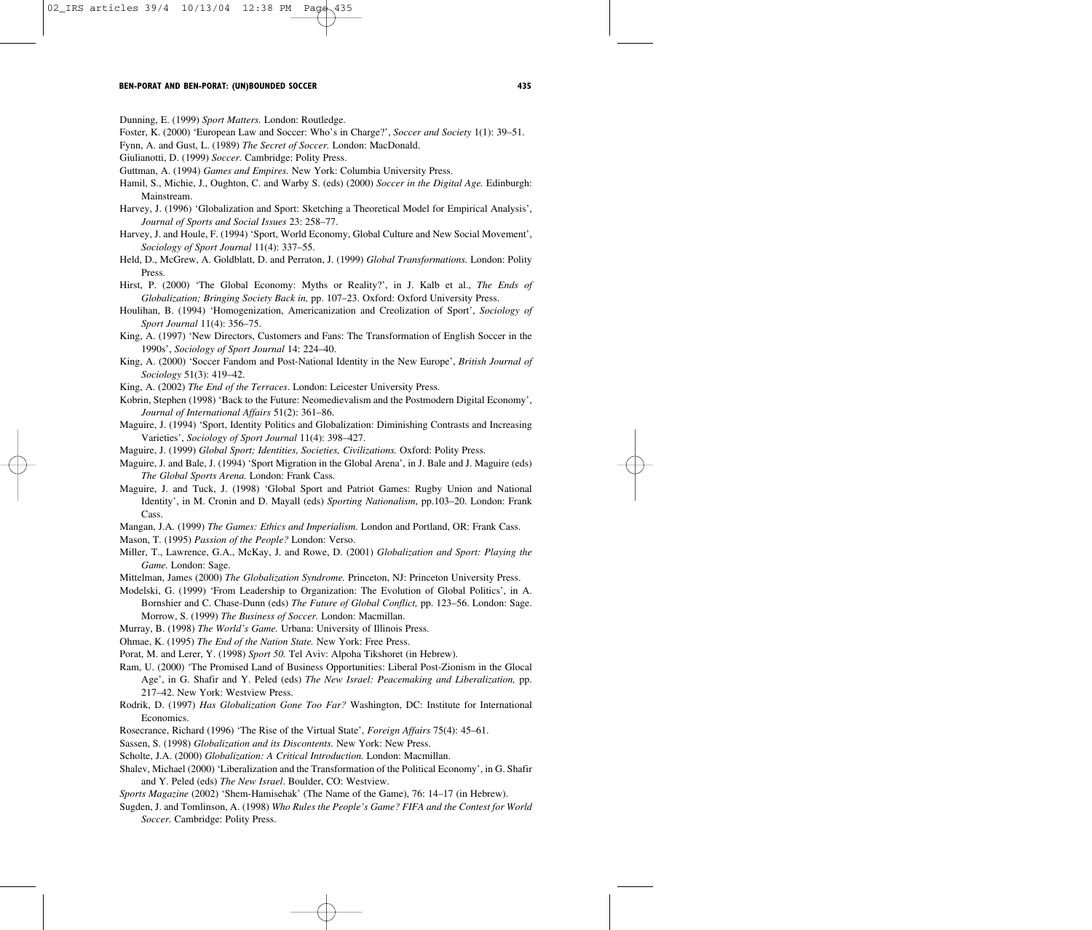Dunning, E. (1999) *Sport Matters.* London: Routledge.

Foster, K. (2000) 'European Law and Soccer: Who's in Charge?', *Soccer and Society* 1(1): 39–51.

Fynn, A. and Gust, L. (1989) *The Secret of Soccer.* London: MacDonald.

Giulianotti, D. (1999) *Soccer.* Cambridge: Polity Press.

Guttman, A. (1994) *Games and Empires.* New York: Columbia University Press.

- Hamil, S., Michie, J., Oughton, C. and Warby S. (eds) (2000) *Soccer in the Digital Age.* Edinburgh: Mainstream.
- Harvey, J. (1996) 'Globalization and Sport: Sketching a Theoretical Model for Empirical Analysis', *Journal of Sports and Social Issues* 23: 258–77.
- Harvey, J. and Houle, F. (1994) 'Sport, World Economy, Global Culture and New Social Movement', *Sociology of Sport Journal* 11(4): 337–55.
- Held, D., McGrew, A. Goldblatt, D. and Perraton, J. (1999) *Global Transformations.* London: Polity Press.
- Hirst, P. (2000) 'The Global Economy: Myths or Reality?', in J. Kalb et al., *The Ends of Globalization; Bringing Society Back in,* pp. 107–23. Oxford: Oxford University Press.
- Houlihan, B. (1994) 'Homogenization, Americanization and Creolization of Sport', *Sociology of Sport Journal* 11(4): 356–75.
- King, A. (1997) 'New Directors, Customers and Fans: The Transformation of English Soccer in the 1990s', *Sociology of Sport Journal* 14: 224–40.
- King, A. (2000) 'Soccer Fandom and Post-National Identity in the New Europe', *British Journal of Sociology* 51(3): 419–42.
- King, A. (2002) *The End of the Terraces*. London: Leicester University Press.
- Kobrin, Stephen (1998) 'Back to the Future: Neomedievalism and the Postmodern Digital Economy', *Journal of International Affairs* 51(2): 361–86.
- Maguire, J. (1994) 'Sport, Identity Politics and Globalization: Diminishing Contrasts and Increasing Varieties', *Sociology of Sport Journal* 11(4): 398–427.
- Maguire, J. (1999) *Global Sport; Identities, Societies, Civilizations.* Oxford: Polity Press.
- Maguire, J. and Bale, J. (1994) 'Sport Migration in the Global Arena', in J. Bale and J. Maguire (eds) *The Global Sports Arena.* London: Frank Cass.
- Maguire, J. and Tuck, J. (1998) 'Global Sport and Patriot Games: Rugby Union and National Identity', in M. Cronin and D. Mayall (eds) *Sporting Nationalism*, pp.103–20. London: Frank Cass.

Mangan, J.A. (1999) *The Games: Ethics and Imperialism.* London and Portland, OR: Frank Cass.

Mason, T. (1995) *Passion of the People?* London: Verso.

- Miller, T., Lawrence, G.A., McKay, J. and Rowe, D. (2001) *Globalization and Sport: Playing the Game.* London: Sage.
- Mittelman, James (2000) *The Globalization Syndrome.* Princeton, NJ: Princeton University Press.
- Modelski, G. (1999) 'From Leadership to Organization: The Evolution of Global Politics', in A. Bornshier and C. Chase-Dunn (eds) *The Future of Global Conflict,* pp. 123–56. London: Sage. Morrow, S. (1999) *The Business of Soccer.* London: Macmillan.
- Murray, B. (1998) *The World's Game.* Urbana: University of Illinois Press.
- Ohmae, K. (1995) *The End of the Nation State.* New York: Free Press.
- Porat, M. and Lerer, Y. (1998) *Sport 50*. Tel Aviv: Alpoha Tikshoret (in Hebrew).
- Ram, U. (2000) 'The Promised Land of Business Opportunities: Liberal Post-Zionism in the Glocal Age', in G. Shafir and Y. Peled (eds) *The New Israel: Peacemaking and Liberalization,* pp. 217–42. New York: Westview Press.
- Rodrik, D. (1997) *Has Globalization Gone Too Far?* Washington, DC: Institute for International Economics.
- Rosecrance, Richard (1996) 'The Rise of the Virtual State', *Foreign Affairs* 75(4): 45–61.
- Sassen, S. (1998) *Globalization and its Discontents.* New York: New Press.
- Scholte, J.A. (2000) *Globalization: A Critical Introduction.* London: Macmillan.
- Shalev, Michael (2000) 'Liberalization and the Transformation of the Political Economy', in G. Shafir and Y. Peled (eds) *The New Israel*. Boulder, CO: Westview.
- *Sports Magazine* (2002) 'Shem-Hamisehak' (The Name of the Game), 76: 14–17 (in Hebrew).
- Sugden, J. and Tomlinson, A. (1998) *Who Rules the People's Game? FIFA and the Contest for World Soccer.* Cambridge: Polity Press.